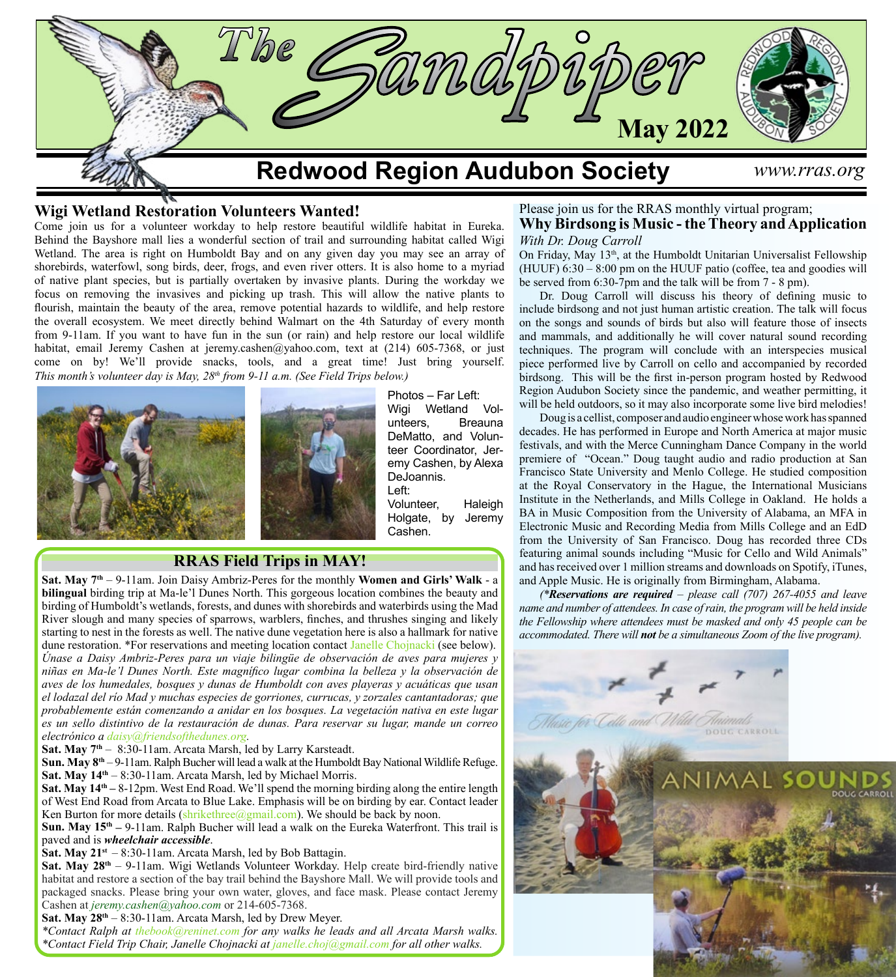

## **Wigi Wetland Restoration Volunteers Wanted!**

Come join us for a volunteer workday to help restore beautiful wildlife habitat in Eureka. Behind the Bayshore mall lies a wonderful section of trail and surrounding habitat called Wigi Wetland. The area is right on Humboldt Bay and on any given day you may see an array of shorebirds, waterfowl, song birds, deer, frogs, and even river otters. It is also home to a myriad of native plant species, but is partially overtaken by invasive plants. During the workday we focus on removing the invasives and picking up trash. This will allow the native plants to flourish, maintain the beauty of the area, remove potential hazards to wildlife, and help restore the overall ecosystem. We meet directly behind Walmart on the 4th Saturday of every month from 9-11am. If you want to have fun in the sun (or rain) and help restore our local wildlife habitat, email Jeremy Cashen at jeremy.cashen@yahoo.com, text at  $(214)$  605-7368, or just come on by! We'll provide snacks, tools, and a great time! Just bring yourself. *This month's volunteer day is May, 28th from 9-11 a.m. (See Field Trips below.)*





Photos – Far Left: Wigi Wetland Volunteers, Breauna DeMatto, and Volunteer Coordinator, Jeremy Cashen, by Alexa DeJoannis. Left:

Volunteer, Haleigh Holgate, by Jeremy Cashen.

## **RRAS Field Trips in MAY!**

**Sat. May 7th** – 9-11am. Join Daisy Ambriz-Peres for the monthly **Women and Girls' Walk** - a **bilingual** birding trip at Ma-le'l Dunes North. This gorgeous location combines the beauty and birding of Humboldt's wetlands, forests, and dunes with shorebirds and waterbirds using the Mad River slough and many species of sparrows, warblers, finches, and thrushes singing and likely starting to nest in the forests as well. The native dune vegetation here is also a hallmark for native dune restoration. \*For reservations and meeting location contact Janelle Chojnacki (see below). *Únase a Daisy Ambriz-Peres para un viaje bilingüe de observación de aves para mujeres y niñas en Ma-le'l Dunes North. Este magnífico lugar combina la belleza y la observación de aves de los humedales, bosques y dunas de Humboldt con aves playeras y acuáticas que usan el lodazal del río Mad y muchas especies de gorriones, currucas, y zorzales cantantadoras; que probablemente están comenzando a anidar en los bosques. La vegetación nativa en este lugar es un sello distintivo de la restauración de dunas. Para reservar su lugar, mande un correo electrónico a [daisy@friendsofthedunes.org](http://daisy@friendsofthedunes.org).*

**Sat. May 7th** – 8:30-11am. Arcata Marsh, led by Larry Karsteadt.

**Sun. May 8th** – 9-11am. Ralph Bucher will lead a walk at the Humboldt Bay National Wildlife Refuge. **Sat. May 14th** – 8:30-11am. Arcata Marsh, led by Michael Morris.

**Sat. May 14th –** 8-12pm. West End Road. We'll spend the morning birding along the entire length of West End Road from Arcata to Blue Lake. Emphasis will be on birding by ear. Contact leader Ken Burton for more details  $(\text{shrikethee}(\text{Qgmail.com})$ . We should be back by noon.

**Sun. May 15th –** 9-11am. Ralph Bucher will lead a walk on the Eureka Waterfront. This trail is paved and is *wheelchair accessible*.

**Sat. May 21st** – 8:30-11am. Arcata Marsh, led by Bob Battagin.

**Sat. May 28<sup>th</sup>** – 9-11am. Wigi Wetlands Volunteer Workday. Help create bird-friendly native habitat and restore a section of the bay trail behind the Bayshore Mall. We will provide tools and packaged snacks. Please bring your own water, gloves, and face mask. Please contact Jeremy Cashen at *[jeremy.cashen@yahoo.com](mailto:jeremy.cashen%40yahoo.com?subject=)* or 214-605-7368.

**Sat. May 28th** – 8:30-11am. Arcata Marsh, led by Drew Meyer.

*\*Contact Ralph at [thebook@reninet.com](mailto:thebook%40reninet.com?subject=) for any walks he leads and all Arcata Marsh walks. \*Contact Field Trip Chair, Janelle Chojnacki at [janelle.choj@gmail.com](mailto:janelle.choj%40gmail.com?subject=) for all other walks.*

### Please join us for the RRAS monthly virtual program; **Why Birdsong is Music - the Theory and Application** *With Dr. Doug Carroll*

On Friday, May  $13<sup>th</sup>$ , at the Humboldt Unitarian Universalist Fellowship (HUUF) 6:30 – 8:00 pm on the HUUF patio (coffee, tea and goodies will be served from 6:30-7pm and the talk will be from 7 - 8 pm).

Dr. Doug Carroll will discuss his theory of defining music to include birdsong and not just human artistic creation. The talk will focus on the songs and sounds of birds but also will feature those of insects and mammals, and additionally he will cover natural sound recording techniques. The program will conclude with an interspecies musical piece performed live by Carroll on cello and accompanied by recorded birdsong. This will be the first in-person program hosted by Redwood Region Audubon Society since the pandemic, and weather permitting, it will be held outdoors, so it may also incorporate some live bird melodies!

Doug is a cellist, composer and audio engineer whose work has spanned decades. He has performed in Europe and North America at major music festivals, and with the Merce Cunningham Dance Company in the world premiere of "Ocean." Doug taught audio and radio production at San Francisco State University and Menlo College. He studied composition at the Royal Conservatory in the Hague, the International Musicians Institute in the Netherlands, and Mills College in Oakland. He holds a BA in Music Composition from the University of Alabama, an MFA in Electronic Music and Recording Media from Mills College and an EdD from the University of San Francisco. Doug has recorded three CDs featuring animal sounds including "Music for Cello and Wild Animals" and has received over 1 million streams and downloads on Spotify, iTunes, and Apple Music. He is originally from Birmingham, Alabama.

*(\*Reservations are required – please call (707) 267-4055 and leave name and number of attendees. In case of rain, the program will be held inside the Fellowship where attendees must be masked and only 45 people can be accommodated. There will not be a simultaneous Zoom of the live program).*

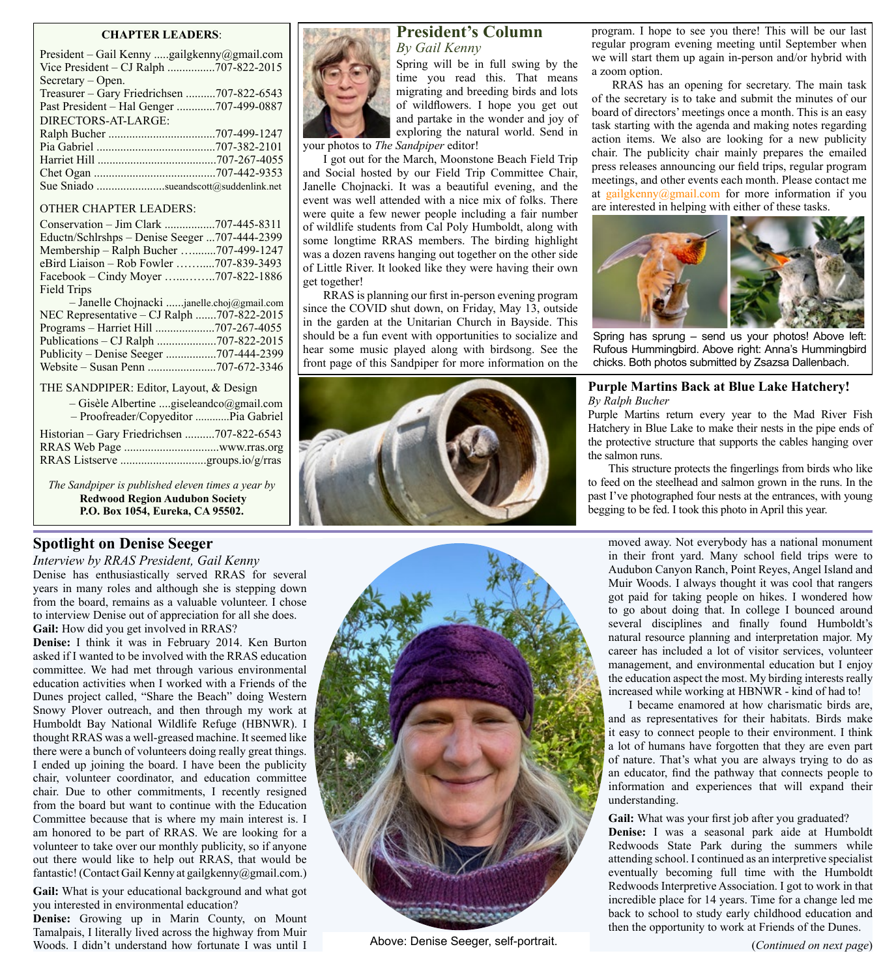### **CHAPTER LEADERS**:

| President - Gail Kenny gailgkenny@gmail.com |
|---------------------------------------------|
| Vice President - CJ Ralph 707-822-2015      |
| Secretary – Open.                           |
| Treasurer – Gary Friedrichsen 707-822-6543  |
| Past President – Hal Genger 707-499-0887    |
| DIRECTORS-AT-LARGE:                         |
|                                             |
|                                             |
|                                             |
|                                             |
| Sue Sniado sueandscott@suddenlink.net       |

### OTHER CHAPTER LEADERS:

| Conservation - Jim Clark 707-445-8311         |  |
|-----------------------------------------------|--|
| Eductn/Schlrshps - Denise Seeger 707-444-2399 |  |
| Membership - Ralph Bucher 707-499-1247        |  |
| eBird Liaison - Rob Fowler 707-839-3493       |  |
| Facebook – Cindy Moyer 707-822-1886           |  |
| <b>Field Trips</b>                            |  |
|                                               |  |
| - Janelle Chojnacki janelle.choj@gmail.com    |  |
| NEC Representative – CJ Ralph 707-822-2015    |  |
|                                               |  |
|                                               |  |
| Publicity - Denise Seeger 707-444-2399        |  |

#### THE SANDPIPER: Editor, Layout, & Design

| $-$ Gisèle Albertine giseleandco@gmail.com<br>- Proofreader/Copyeditor Pia Gabriel |  |
|------------------------------------------------------------------------------------|--|
| Historian - Gary Friedrichsen 707-822-6543                                         |  |
|                                                                                    |  |
|                                                                                    |  |

*The Sandpiper is published eleven times a year by* **Redwood Region Audubon Society P.O. Box 1054, Eureka, CA 95502.**

## **Spotlight on Denise Seeger**

*Interview by RRAS President, Gail Kenny* Denise has enthusiastically served RRAS for several years in many roles and although she is stepping down from the board, remains as a valuable volunteer. I chose to interview Denise out of appreciation for all she does. **Gail:** How did you get involved in RRAS?

**Denise:** I think it was in February 2014. Ken Burton asked if I wanted to be involved with the RRAS education committee. We had met through various environmental education activities when I worked with a Friends of the Dunes project called, "Share the Beach" doing Western Snowy Plover outreach, and then through my work at Humboldt Bay National Wildlife Refuge (HBNWR). I thought RRAS was a well-greased machine. It seemed like there were a bunch of volunteers doing really great things. I ended up joining the board. I have been the publicity chair, volunteer coordinator, and education committee chair. Due to other commitments, I recently resigned from the board but want to continue with the Education Committee because that is where my main interest is. I am honored to be part of RRAS. We are looking for a volunteer to take over our monthly publicity, so if anyone out there would like to help out RRAS, that would be fantastic! (Contact Gail Kenny at gailgkenny@gmail.com.)

**Gail:** What is your educational background and what got you interested in environmental education?

**Denise:** Growing up in Marin County, on Mount Tamalpais, I literally lived across the highway from Muir Woods. I didn't understand how fortunate I was until I Above: Denise Seeger, self-portrait.



## **President's Column**

*By Gail Kenny*

Spring will be in full swing by the time you read this. That means migrating and breeding birds and lots of wildflowers. I hope you get out and partake in the wonder and joy of exploring the natural world. Send in

your photos to *The Sandpiper* editor!

I got out for the March, Moonstone Beach Field Trip and Social hosted by our Field Trip Committee Chair, Janelle Chojnacki. It was a beautiful evening, and the event was well attended with a nice mix of folks. There were quite a few newer people including a fair number of wildlife students from Cal Poly Humboldt, along with some longtime RRAS members. The birding highlight was a dozen ravens hanging out together on the other side of Little River. It looked like they were having their own get together!

RRAS is planning our first in-person evening program since the COVID shut down, on Friday, May 13, outside in the garden at the Unitarian Church in Bayside. This should be a fun event with opportunities to socialize and hear some music played along with birdsong. See the front page of this Sandpiper for more information on the





program. I hope to see you there! This will be our last regular program evening meeting until September when we will start them up again in-person and/or hybrid with a zoom option.

RRAS has an opening for secretary. The main task of the secretary is to take and submit the minutes of our board of directors' meetings once a month. This is an easy task starting with the agenda and making notes regarding action items. We also are looking for a new publicity chair. The publicity chair mainly prepares the emailed press releases announcing our field trips, regular program meetings, and other events each month. Please contact me at [gailgkenny@gmail.com](http://gailgkenny@gmail.com) for more information if you are interested in helping with either of these tasks.



Spring has sprung – send us your photos! Above left: Rufous Hummingbird. Above right: Anna's Hummingbird chicks. Both photos submitted by Zsazsa Dallenbach.

### **Purple Martins Back at Blue Lake Hatchery!** *By Ralph Bucher*

Purple Martins return every year to the Mad River Fish Hatchery in Blue Lake to make their nests in the pipe ends of the protective structure that supports the cables hanging over the salmon runs.

This structure protects the fingerlings from birds who like to feed on the steelhead and salmon grown in the runs. In the past I've photographed four nests at the entrances, with young begging to be fed. I took this photo in April this year.

moved away. Not everybody has a national monument in their front yard. Many school field trips were to Audubon Canyon Ranch, Point Reyes, Angel Island and Muir Woods. I always thought it was cool that rangers got paid for taking people on hikes. I wondered how to go about doing that. In college I bounced around several disciplines and finally found Humboldt's natural resource planning and interpretation major. My career has included a lot of visitor services, volunteer management, and environmental education but I enjoy the education aspect the most. My birding interests really increased while working at HBNWR - kind of had to!

I became enamored at how charismatic birds are, and as representatives for their habitats. Birds make it easy to connect people to their environment. I think a lot of humans have forgotten that they are even part of nature. That's what you are always trying to do as an educator, find the pathway that connects people to information and experiences that will expand their understanding.

Gail: What was your first job after you graduated? **Denise:** I was a seasonal park aide at Humboldt Redwoods State Park during the summers while attending school. I continued as an interpretive specialist eventually becoming full time with the Humboldt Redwoods Interpretive Association. I got to work in that incredible place for 14 years. Time for a change led me back to school to study early childhood education and then the opportunity to work at Friends of the Dunes.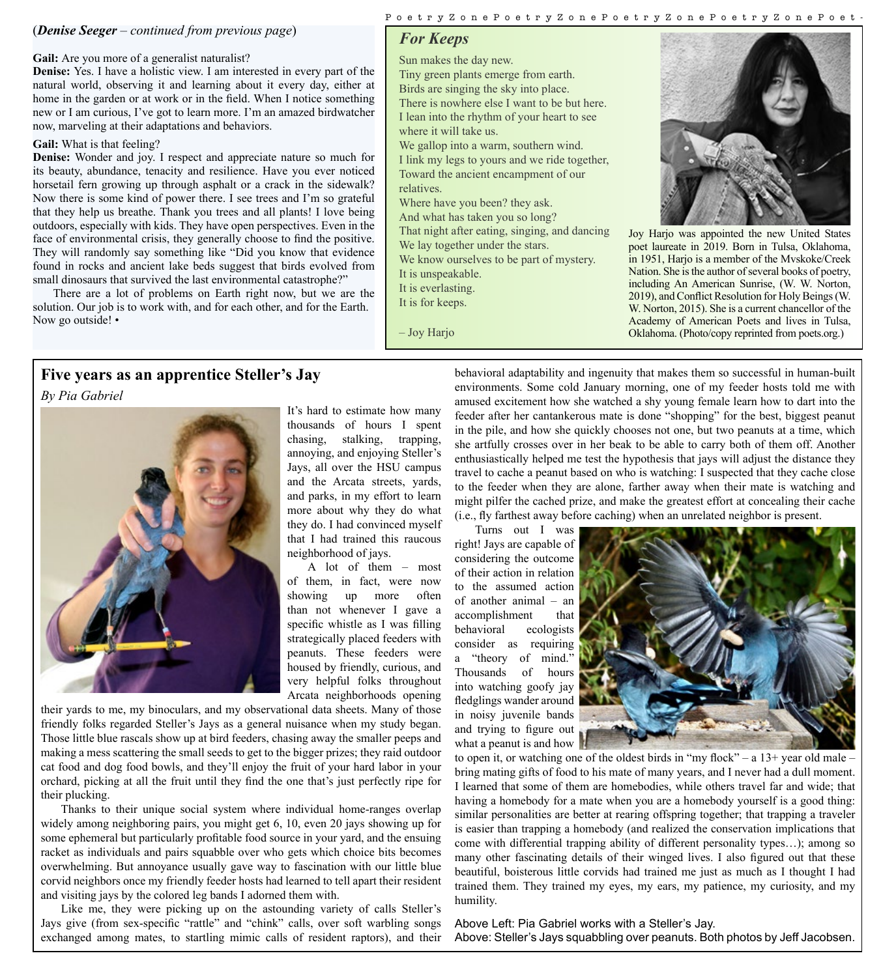## (*Denise Seeger – continued from previous page*)

#### Gail: Are you more of a generalist naturalist?

**Denise:** Yes. I have a holistic view. I am interested in every part of the natural world, observing it and learning about it every day, either at home in the garden or at work or in the field. When I notice something new or I am curious, I've got to learn more. I'm an amazed birdwatcher now, marveling at their adaptations and behaviors.

#### **Gail:** What is that feeling?

**Denise:** Wonder and joy. I respect and appreciate nature so much for its beauty, abundance, tenacity and resilience. Have you ever noticed horsetail fern growing up through asphalt or a crack in the sidewalk? Now there is some kind of power there. I see trees and I'm so grateful that they help us breathe. Thank you trees and all plants! I love being outdoors, especially with kids. They have open perspectives. Even in the face of environmental crisis, they generally choose to find the positive. They will randomly say something like "Did you know that evidence found in rocks and ancient lake beds suggest that birds evolved from small dinosaurs that survived the last environmental catastrophe?"

There are a lot of problems on Earth right now, but we are the solution. Our job is to work with, and for each other, and for the Earth. Now go outside! •

## PoetryZonePoetryZonePoetryZonePoetryZonePoet -

## *For Keeps*

Sun makes the day new. Tiny green plants emerge from earth. Birds are singing the sky into place.

There is nowhere else I want to be but here. I lean into the rhythm of your heart to see where it will take us.

We gallop into a warm, southern wind. I link my legs to yours and we ride together, Toward the ancient encampment of our relatives.

Where have you been? they ask. And what has taken you so long? That night after eating, singing, and dancing We lay together under the stars. We know ourselves to be part of mystery. It is unspeakable.

It is everlasting.

It is for keeps.

– Joy Harjo



Joy Harjo was appointed the new United States poet laureate in 2019. Born in Tulsa, Oklahoma, in 1951, Harjo is a member of the Mvskoke/Creek Nation. She is the author of several books of poetry, including An American Sunrise, (W. W. Norton, 2019), and Conflict Resolution for Holy Beings (W. W. Norton, 2015). She is a current chancellor of the Academy of American Poets and lives in Tulsa, Oklahoma. (Photo/copy reprinted from poets.org.)

## **Five years as an apprentice Steller's Jay**

*By Pia Gabriel*



It's hard to estimate how many thousands of hours I spent chasing, stalking, trapping, annoying, and enjoying Steller's Jays, all over the HSU campus and the Arcata streets, yards, and parks, in my effort to learn more about why they do what they do. I had convinced myself that I had trained this raucous neighborhood of jays.

A lot of them – most of them, in fact, were now showing up more often than not whenever I gave a specific whistle as I was filling strategically placed feeders with peanuts. These feeders were housed by friendly, curious, and very helpful folks throughout Arcata neighborhoods opening

their yards to me, my binoculars, and my observational data sheets. Many of those friendly folks regarded Steller's Jays as a general nuisance when my study began. Those little blue rascals show up at bird feeders, chasing away the smaller peeps and making a mess scattering the small seeds to get to the bigger prizes; they raid outdoor cat food and dog food bowls, and they'll enjoy the fruit of your hard labor in your orchard, picking at all the fruit until they find the one that's just perfectly ripe for their plucking.

Thanks to their unique social system where individual home-ranges overlap widely among neighboring pairs, you might get 6, 10, even 20 jays showing up for some ephemeral but particularly profitable food source in your yard, and the ensuing racket as individuals and pairs squabble over who gets which choice bits becomes overwhelming. But annoyance usually gave way to fascination with our little blue corvid neighbors once my friendly feeder hosts had learned to tell apart their resident and visiting jays by the colored leg bands I adorned them with.

Like me, they were picking up on the astounding variety of calls Steller's Jays give (from sex-specific "rattle" and "chink" calls, over soft warbling songs exchanged among mates, to startling mimic calls of resident raptors), and their behavioral adaptability and ingenuity that makes them so successful in human-built environments. Some cold January morning, one of my feeder hosts told me with amused excitement how she watched a shy young female learn how to dart into the feeder after her cantankerous mate is done "shopping" for the best, biggest peanut in the pile, and how she quickly chooses not one, but two peanuts at a time, which she artfully crosses over in her beak to be able to carry both of them off. Another enthusiastically helped me test the hypothesis that jays will adjust the distance they travel to cache a peanut based on who is watching: I suspected that they cache close to the feeder when they are alone, farther away when their mate is watching and might pilfer the cached prize, and make the greatest effort at concealing their cache (i.e., fly farthest away before caching) when an unrelated neighbor is present.

Turns out I was right! Jays are capable of considering the outcome of their action in relation to the assumed action of another animal – an accomplishment that behavioral ecologists consider as requiring a "theory of mind." Thousands of hours into watching goofy jay fledglings wander around in noisy juvenile bands and trying to figure out what a peanut is and how



to open it, or watching one of the oldest birds in "my flock" – a  $13+$  year old male – bring mating gifts of food to his mate of many years, and I never had a dull moment. I learned that some of them are homebodies, while others travel far and wide; that having a homebody for a mate when you are a homebody yourself is a good thing: similar personalities are better at rearing offspring together; that trapping a traveler is easier than trapping a homebody (and realized the conservation implications that come with differential trapping ability of different personality types…); among so many other fascinating details of their winged lives. I also figured out that these beautiful, boisterous little corvids had trained me just as much as I thought I had trained them. They trained my eyes, my ears, my patience, my curiosity, and my humility.

Above Left: Pia Gabriel works with a Steller's Jay. Above: Steller's Jays squabbling over peanuts. Both photos by Jeff Jacobsen.